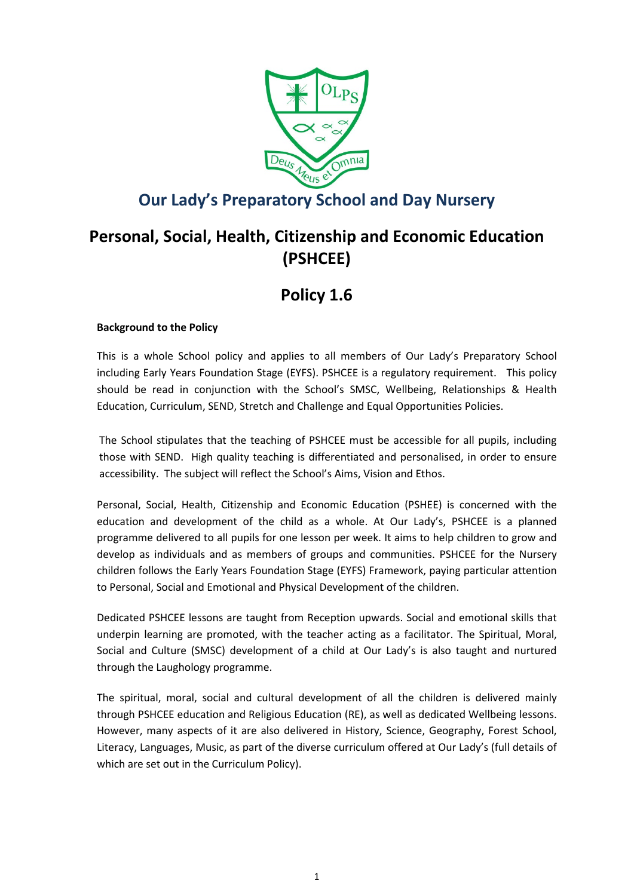

## **Our Lady's Preparatory School and Day Nursery**

# **Personal, Social, Health, Citizenship and Economic Education (PSHCEE)**

# **Policy 1.6**

### **Background to the Policy**

This is a whole School policy and applies to all members of Our Lady's Preparatory School including Early Years Foundation Stage (EYFS). PSHCEE is a regulatory requirement. This policy should be read in conjunction with the School's SMSC, Wellbeing, Relationships & Health Education, Curriculum, SEND, Stretch and Challenge and Equal Opportunities Policies.

The School stipulates that the teaching of PSHCEE must be accessible for all pupils, including those with SEND. High quality teaching is differentiated and personalised, in order to ensure accessibility. The subject will reflect the School's Aims, Vision and Ethos.

Personal, Social, Health, Citizenship and Economic Education (PSHEE) is concerned with the education and development of the child as a whole. At Our Lady's, PSHCEE is a planned programme delivered to all pupils for one lesson per week. It aims to help children to grow and develop as individuals and as members of groups and communities. PSHCEE for the Nursery children follows the Early Years Foundation Stage (EYFS) Framework, paying particular attention to Personal, Social and Emotional and Physical Development of the children.

Dedicated PSHCEE lessons are taught from Reception upwards. Social and emotional skills that underpin learning are promoted, with the teacher acting as a facilitator. The Spiritual, Moral, Social and Culture (SMSC) development of a child at Our Lady's is also taught and nurtured through the Laughology programme.

The spiritual, moral, social and cultural development of all the children is delivered mainly through PSHCEE education and Religious Education (RE), as well as dedicated Wellbeing lessons. However, many aspects of it are also delivered in History, Science, Geography, Forest School, Literacy, Languages, Music, as part of the diverse curriculum offered at Our Lady's (full details of which are set out in the Curriculum Policy).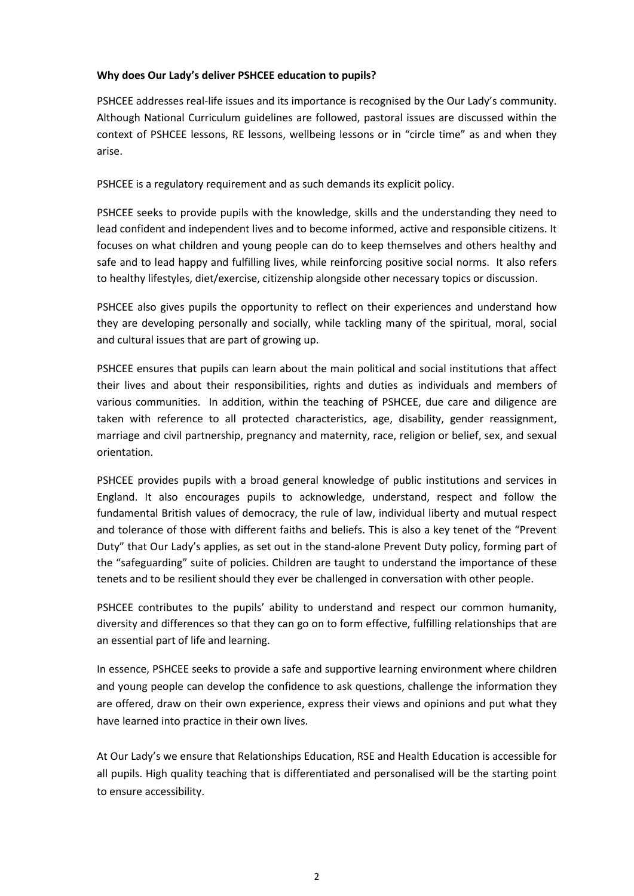#### **Why does Our Lady's deliver PSHCEE education to pupils?**

PSHCEE addresses real-life issues and its importance is recognised by the Our Lady's community. Although National Curriculum guidelines are followed, pastoral issues are discussed within the context of PSHCEE lessons, RE lessons, wellbeing lessons or in "circle time" as and when they arise.

PSHCEE is a regulatory requirement and as such demands its explicit policy.

PSHCEE seeks to provide pupils with the knowledge, skills and the understanding they need to lead confident and independent lives and to become informed, active and responsible citizens. It focuses on what children and young people can do to keep themselves and others healthy and safe and to lead happy and fulfilling lives, while reinforcing positive social norms. It also refers to healthy lifestyles, diet/exercise, citizenship alongside other necessary topics or discussion.

PSHCEE also gives pupils the opportunity to reflect on their experiences and understand how they are developing personally and socially, while tackling many of the spiritual, moral, social and cultural issues that are part of growing up.

PSHCEE ensures that pupils can learn about the main political and social institutions that affect their lives and about their responsibilities, rights and duties as individuals and members of various communities. In addition, within the teaching of PSHCEE, due care and diligence are taken with reference to all protected characteristics, age, disability, gender reassignment, marriage and civil partnership, pregnancy and maternity, race, religion or belief, sex, and sexual orientation.

PSHCEE provides pupils with a broad general knowledge of public institutions and services in England. It also encourages pupils to acknowledge, understand, respect and follow the fundamental British values of democracy, the rule of law, individual liberty and mutual respect and tolerance of those with different faiths and beliefs. This is also a key tenet of the "Prevent Duty" that Our Lady's applies, as set out in the stand-alone Prevent Duty policy, forming part of the "safeguarding" suite of policies. Children are taught to understand the importance of these tenets and to be resilient should they ever be challenged in conversation with other people.

PSHCEE contributes to the pupils' ability to understand and respect our common humanity, diversity and differences so that they can go on to form effective, fulfilling relationships that are an essential part of life and learning.

In essence, PSHCEE seeks to provide a safe and supportive learning environment where children and young people can develop the confidence to ask questions, challenge the information they are offered, draw on their own experience, express their views and opinions and put what they have learned into practice in their own lives.

At Our Lady's we ensure that Relationships Education, RSE and Health Education is accessible for all pupils. High quality teaching that is differentiated and personalised will be the starting point to ensure accessibility.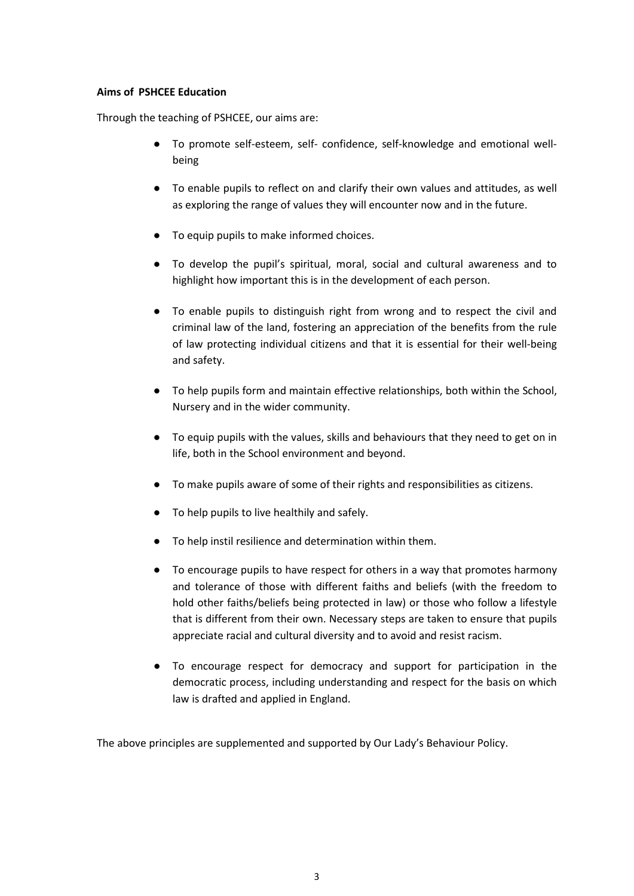#### **Aims of PSHCEE Education**

Through the teaching of PSHCEE, our aims are:

- To promote self-esteem, self- confidence, self-knowledge and emotional wellbeing
- To enable pupils to reflect on and clarify their own values and attitudes, as well as exploring the range of values they will encounter now and in the future.
- To equip pupils to make informed choices.
- To develop the pupil's spiritual, moral, social and cultural awareness and to highlight how important this is in the development of each person.
- To enable pupils to distinguish right from wrong and to respect the civil and criminal law of the land, fostering an appreciation of the benefits from the rule of law protecting individual citizens and that it is essential for their well-being and safety.
- To help pupils form and maintain effective relationships, both within the School, Nursery and in the wider community.
- To equip pupils with the values, skills and behaviours that they need to get on in life, both in the School environment and beyond.
- To make pupils aware of some of their rights and responsibilities as citizens.
- To help pupils to live healthily and safely.
- To help instil resilience and determination within them.
- To encourage pupils to have respect for others in a way that promotes harmony and tolerance of those with different faiths and beliefs (with the freedom to hold other faiths/beliefs being protected in law) or those who follow a lifestyle that is different from their own. Necessary steps are taken to ensure that pupils appreciate racial and cultural diversity and to avoid and resist racism.
- To encourage respect for democracy and support for participation in the democratic process, including understanding and respect for the basis on which law is drafted and applied in England.

The above principles are supplemented and supported by Our Lady's Behaviour Policy.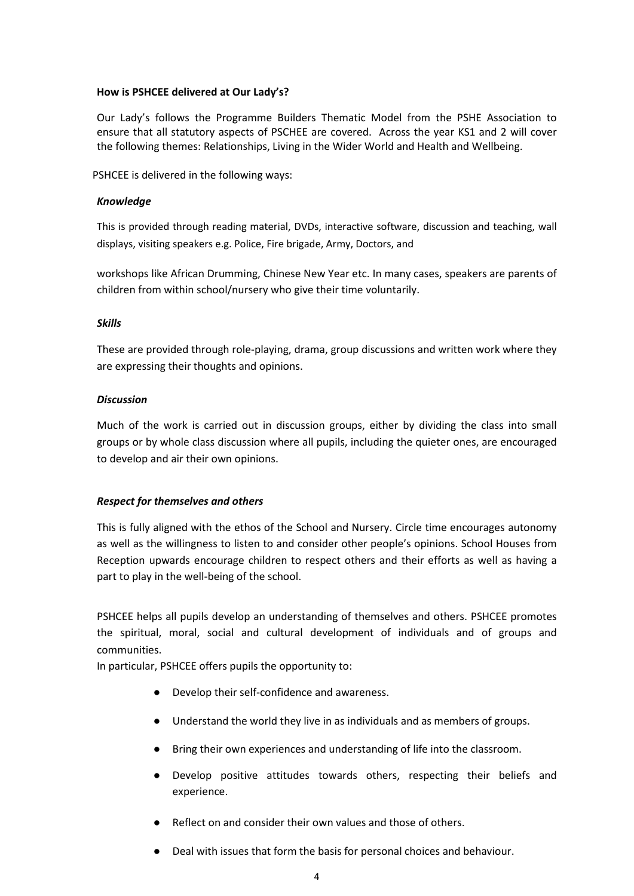#### **How is PSHCEE delivered at Our Lady's?**

Our Lady's follows the Programme Builders Thematic Model from the PSHE Association to ensure that all statutory aspects of PSCHEE are covered. Across the year KS1 and 2 will cover the following themes: Relationships, Living in the Wider World and Health and Wellbeing.

PSHCEE is delivered in the following ways:

#### *Knowledge*

This is provided through reading material, DVDs, interactive software, discussion and teaching, wall displays, visiting speakers e.g. Police, Fire brigade, Army, Doctors, and

workshops like African Drumming, Chinese New Year etc. In many cases, speakers are parents of children from within school/nursery who give their time voluntarily.

#### *Skills*

These are provided through role-playing, drama, group discussions and written work where they are expressing their thoughts and opinions.

#### *Discussion*

Much of the work is carried out in discussion groups, either by dividing the class into small groups or by whole class discussion where all pupils, including the quieter ones, are encouraged to develop and air their own opinions.

### *Respect for themselves and others*

This is fully aligned with the ethos of the School and Nursery. Circle time encourages autonomy as well as the willingness to listen to and consider other people's opinions. School Houses from Reception upwards encourage children to respect others and their efforts as well as having a part to play in the well-being of the school.

PSHCEE helps all pupils develop an understanding of themselves and others. PSHCEE promotes the spiritual, moral, social and cultural development of individuals and of groups and communities.

In particular, PSHCEE offers pupils the opportunity to:

- Develop their self-confidence and awareness.
- Understand the world they live in as individuals and as members of groups.
- Bring their own experiences and understanding of life into the classroom.
- Develop positive attitudes towards others, respecting their beliefs and experience.
- Reflect on and consider their own values and those of others.
- Deal with issues that form the basis for personal choices and behaviour.